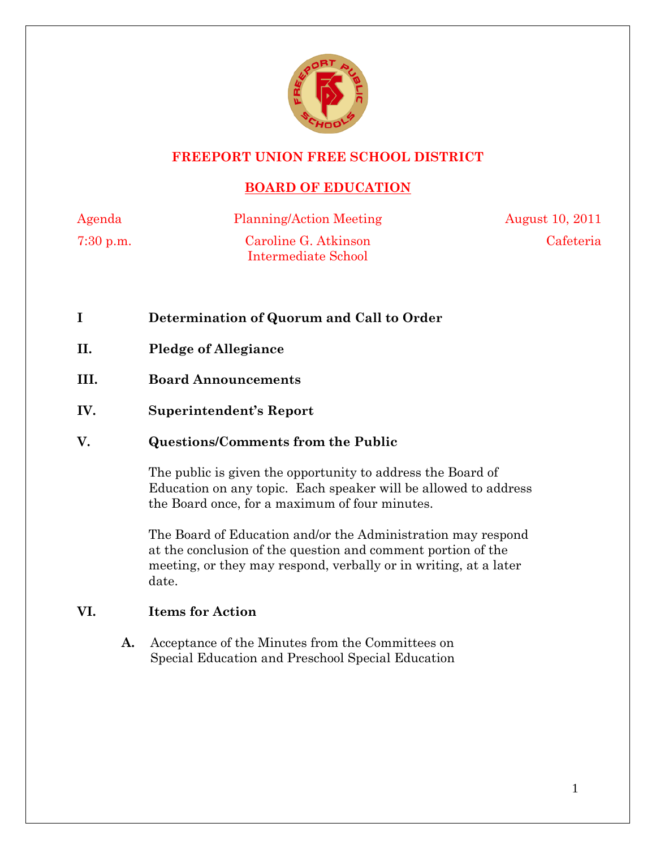

# **FREEPORT UNION FREE SCHOOL DISTRICT**

# **BOARD OF EDUCATION**

7:30 p.m. Caroline G. Atkinson Intermediate School

Agenda Planning/Action Meeting August 10, 2011 Cafeteria

- **I Determination of Quorum and Call to Order**
- **II. Pledge of Allegiance**
- **III. Board Announcements**
- **IV. Superintendent's Report**

# **V. Questions/Comments from the Public**

The public is given the opportunity to address the Board of Education on any topic. Each speaker will be allowed to address the Board once, for a maximum of four minutes.

The Board of Education and/or the Administration may respond at the conclusion of the question and comment portion of the meeting, or they may respond, verbally or in writing, at a later date.

# **VI. Items for Action**

 **A.** Acceptance of the Minutes from the Committees on Special Education and Preschool Special Education